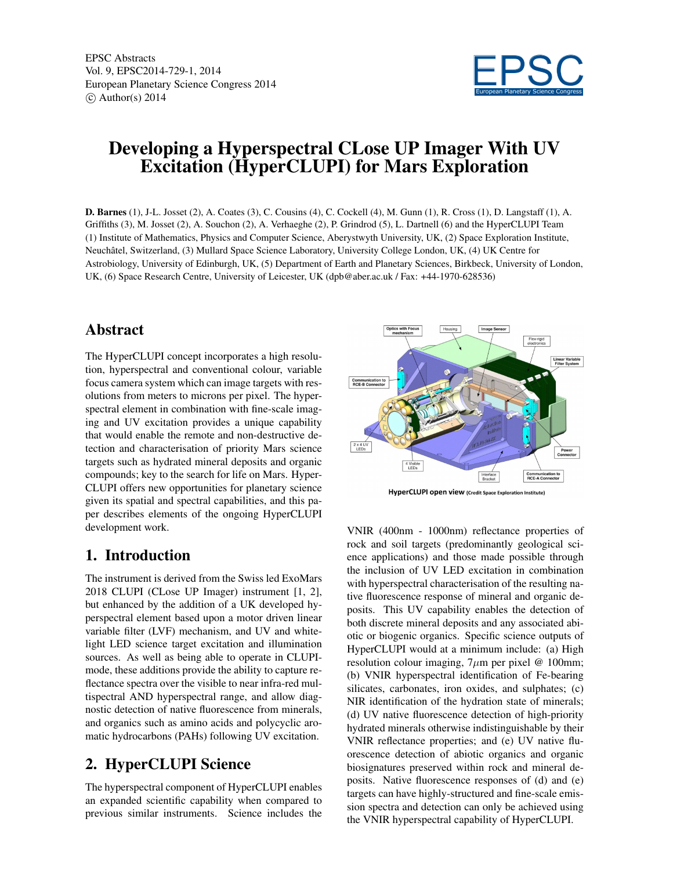EPSC Abstracts Vol. 9, EPSC2014-729-1, 2014 European Planetary Science Congress 2014  $\circ$  Author(s) 2014



# Developing a Hyperspectral CLose UP Imager With UV Excitation (HyperCLUPI) for Mars Exploration

D. Barnes (1), J-L. Josset (2), A. Coates (3), C. Cousins (4), C. Cockell (4), M. Gunn (1), R. Cross (1), D. Langstaff (1), A. Griffiths (3), M. Josset (2), A. Souchon (2), A. Verhaeghe (2), P. Grindrod (5), L. Dartnell (6) and the HyperCLUPI Team (1) Institute of Mathematics, Physics and Computer Science, Aberystwyth University, UK, (2) Space Exploration Institute, Neuchâtel, Switzerland, (3) Mullard Space Science Laboratory, University College London, UK, (4) UK Centre for Astrobiology, University of Edinburgh, UK, (5) Department of Earth and Planetary Sciences, Birkbeck, University of London, UK, (6) Space Research Centre, University of Leicester, UK (dpb@aber.ac.uk / Fax: +44-1970-628536)

### Abstract

The HyperCLUPI concept incorporates a high resolution, hyperspectral and conventional colour, variable focus camera system which can image targets with resolutions from meters to microns per pixel. The hyperspectral element in combination with fine-scale imaging and UV excitation provides a unique capability that would enable the remote and non-destructive detection and characterisation of priority Mars science targets such as hydrated mineral deposits and organic compounds; key to the search for life on Mars. Hyper-CLUPI offers new opportunities for planetary science given its spatial and spectral capabilities, and this paper describes elements of the ongoing HyperCLUPI development work.

### 1. Introduction

The instrument is derived from the Swiss led ExoMars 2018 CLUPI (CLose UP Imager) instrument [1, 2], but enhanced by the addition of a UK developed hyperspectral element based upon a motor driven linear variable filter (LVF) mechanism, and UV and whitelight LED science target excitation and illumination sources. As well as being able to operate in CLUPImode, these additions provide the ability to capture reflectance spectra over the visible to near infra-red multispectral AND hyperspectral range, and allow diagnostic detection of native fluorescence from minerals, and organics such as amino acids and polycyclic aromatic hydrocarbons (PAHs) following UV excitation.

## 2. HyperCLUPI Science

The hyperspectral component of HyperCLUPI enables an expanded scientific capability when compared to previous similar instruments. Science includes the



VNIR (400nm - 1000nm) reflectance properties of rock and soil targets (predominantly geological science applications) and those made possible through the inclusion of UV LED excitation in combination with hyperspectral characterisation of the resulting native fluorescence response of mineral and organic deposits. This UV capability enables the detection of both discrete mineral deposits and any associated abiotic or biogenic organics. Specific science outputs of HyperCLUPI would at a minimum include: (a) High resolution colour imaging,  $7\mu$ m per pixel @ 100mm; (b) VNIR hyperspectral identification of Fe-bearing silicates, carbonates, iron oxides, and sulphates; (c) NIR identification of the hydration state of minerals; (d) UV native fluorescence detection of high-priority hydrated minerals otherwise indistinguishable by their VNIR reflectance properties; and (e) UV native fluorescence detection of abiotic organics and organic biosignatures preserved within rock and mineral deposits. Native fluorescence responses of (d) and (e) targets can have highly-structured and fine-scale emission spectra and detection can only be achieved using the VNIR hyperspectral capability of HyperCLUPI.